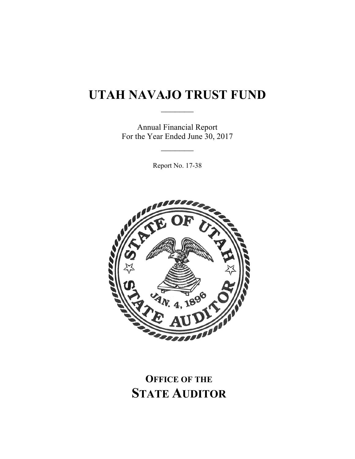$\frac{1}{2}$ 

Annual Financial Report For the Year Ended June 30, 2017

 $\frac{1}{2}$ 

Report No. 17-38



# **OFFICE OF THE STATE AUDITOR**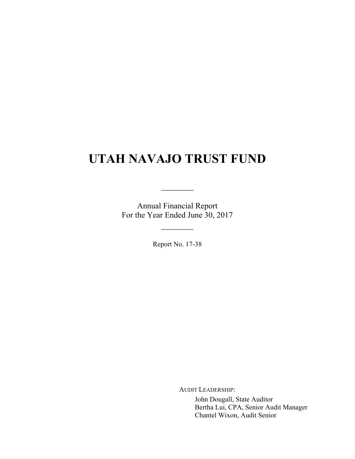Annual Financial Report For the Year Ended June 30, 2017

 $\frac{1}{2}$ 

 $\mathcal{L}_\text{max}$ 

Report No. 17-38

AUDIT LEADERSHIP:

John Dougall, State Auditor Bertha Lui, CPA, Senior Audit Manager Chantel Wixon, Audit Senior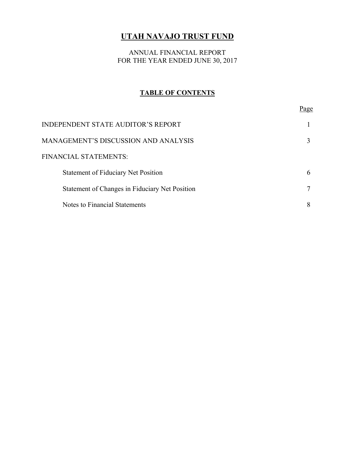# ANNUAL FINANCIAL REPORT FOR THE YEAR ENDED JUNE 30, 2017

# **TABLE OF CONTENTS**

|                                                | Page |
|------------------------------------------------|------|
| <b>INDEPENDENT STATE AUDITOR'S REPORT</b>      |      |
| MANAGEMENT'S DISCUSSION AND ANALYSIS           |      |
| FINANCIAL STATEMENTS:                          |      |
| <b>Statement of Fiduciary Net Position</b>     | h    |
| Statement of Changes in Fiduciary Net Position |      |
| Notes to Financial Statements                  |      |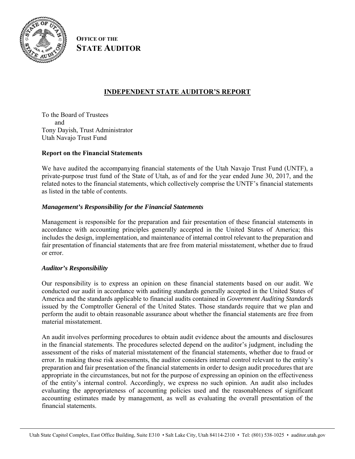

**OFFICE OF THE STATE AUDITOR**

# **INDEPENDENT STATE AUDITOR'S REPORT**

To the Board of Trustees and Tony Dayish, Trust Administrator Utah Navajo Trust Fund

# **Report on the Financial Statements**

We have audited the accompanying financial statements of the Utah Navajo Trust Fund (UNTF), a private-purpose trust fund of the State of Utah, as of and for the year ended June 30, 2017, and the related notes to the financial statements, which collectively comprise the UNTF's financial statements as listed in the table of contents.

## *Management's Responsibility for the Financial Statements*

Management is responsible for the preparation and fair presentation of these financial statements in accordance with accounting principles generally accepted in the United States of America; this includes the design, implementation, and maintenance of internal control relevant to the preparation and fair presentation of financial statements that are free from material misstatement, whether due to fraud or error.

#### *Auditor's Responsibility*

Our responsibility is to express an opinion on these financial statements based on our audit. We conducted our audit in accordance with auditing standards generally accepted in the United States of America and the standards applicable to financial audits contained in *Government Auditing Standards* issued by the Comptroller General of the United States. Those standards require that we plan and perform the audit to obtain reasonable assurance about whether the financial statements are free from material misstatement.

An audit involves performing procedures to obtain audit evidence about the amounts and disclosures in the financial statements. The procedures selected depend on the auditor's judgment, including the assessment of the risks of material misstatement of the financial statements, whether due to fraud or error. In making those risk assessments, the auditor considers internal control relevant to the entity's preparation and fair presentation of the financial statements in order to design audit procedures that are appropriate in the circumstances, but not for the purpose of expressing an opinion on the effectiveness of the entity's internal control. Accordingly, we express no such opinion. An audit also includes evaluating the appropriateness of accounting policies used and the reasonableness of significant accounting estimates made by management, as well as evaluating the overall presentation of the financial statements.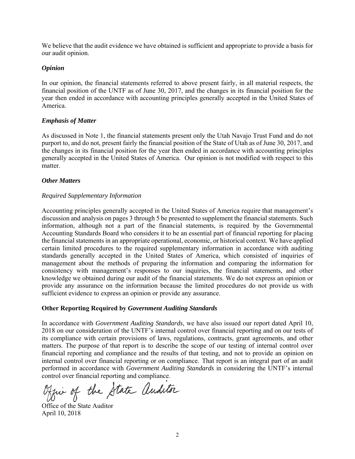We believe that the audit evidence we have obtained is sufficient and appropriate to provide a basis for our audit opinion.

#### *Opinion*

In our opinion, the financial statements referred to above present fairly, in all material respects, the financial position of the UNTF as of June 30, 2017, and the changes in its financial position for the year then ended in accordance with accounting principles generally accepted in the United States of America.

#### *Emphasis of Matter*

As discussed in Note 1, the financial statements present only the Utah Navajo Trust Fund and do not purport to, and do not, present fairly the financial position of the State of Utah as of June 30, 2017, and the changes in its financial position for the year then ended in accordance with accounting principles generally accepted in the United States of America. Our opinion is not modified with respect to this matter.

#### *Other Matters*

#### *Required Supplementary Information*

Accounting principles generally accepted in the United States of America require that management's discussion and analysis on pages 3 through 5 be presented to supplement the financial statements. Such information, although not a part of the financial statements, is required by the Governmental Accounting Standards Board who considers it to be an essential part of financial reporting for placing the financial statements in an appropriate operational, economic, or historical context. We have applied certain limited procedures to the required supplementary information in accordance with auditing standards generally accepted in the United States of America, which consisted of inquiries of management about the methods of preparing the information and comparing the information for consistency with management's responses to our inquiries, the financial statements, and other knowledge we obtained during our audit of the financial statements. We do not express an opinion or provide any assurance on the information because the limited procedures do not provide us with sufficient evidence to express an opinion or provide any assurance.

#### **Other Reporting Required by** *Government Auditing Standards*

In accordance with *Government Auditing Standards*, we have also issued our report dated April 10, 2018 on our consideration of the UNTF's internal control over financial reporting and on our tests of its compliance with certain provisions of laws, regulations, contracts, grant agreements, and other matters. The purpose of that report is to describe the scope of our testing of internal control over financial reporting and compliance and the results of that testing, and not to provide an opinion on internal control over financial reporting or on compliance. That report is an integral part of an audit performed in accordance with *Government Auditing Standards* in considering the UNTF's internal control over financial reporting and compliance.

Office of the State auditor

Office of the State Auditor April 10, 2018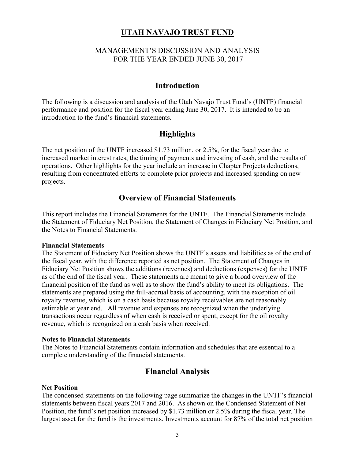# MANAGEMENT'S DISCUSSION AND ANALYSIS FOR THE YEAR ENDED JUNE 30, 2017

## **Introduction**

The following is a discussion and analysis of the Utah Navajo Trust Fund's (UNTF) financial performance and position for the fiscal year ending June 30, 2017. It is intended to be an introduction to the fund's financial statements.

# **Highlights**

The net position of the UNTF increased \$1.73 million, or 2.5%, for the fiscal year due to increased market interest rates, the timing of payments and investing of cash, and the results of operations. Other highlights for the year include an increase in Chapter Projects deductions, resulting from concentrated efforts to complete prior projects and increased spending on new projects.

## **Overview of Financial Statements**

This report includes the Financial Statements for the UNTF. The Financial Statements include the Statement of Fiduciary Net Position, the Statement of Changes in Fiduciary Net Position, and the Notes to Financial Statements.

#### **Financial Statements**

The Statement of Fiduciary Net Position shows the UNTF's assets and liabilities as of the end of the fiscal year, with the difference reported as net position. The Statement of Changes in Fiduciary Net Position shows the additions (revenues) and deductions (expenses) for the UNTF as of the end of the fiscal year. These statements are meant to give a broad overview of the financial position of the fund as well as to show the fund's ability to meet its obligations. The statements are prepared using the full-accrual basis of accounting, with the exception of oil royalty revenue, which is on a cash basis because royalty receivables are not reasonably estimable at year end. All revenue and expenses are recognized when the underlying transactions occur regardless of when cash is received or spent, except for the oil royalty revenue, which is recognized on a cash basis when received.

#### **Notes to Financial Statements**

The Notes to Financial Statements contain information and schedules that are essential to a complete understanding of the financial statements.

# **Financial Analysis**

#### **Net Position**

The condensed statements on the following page summarize the changes in the UNTF's financial statements between fiscal years 2017 and 2016. As shown on the Condensed Statement of Net Position, the fund's net position increased by \$1.73 million or 2.5% during the fiscal year. The largest asset for the fund is the investments. Investments account for 87% of the total net position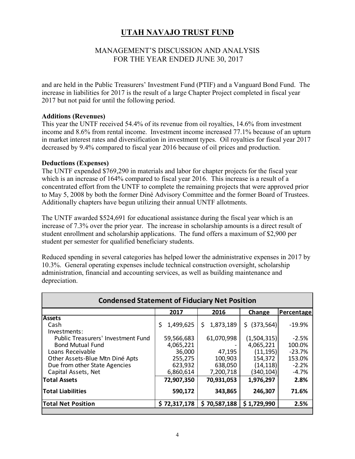# MANAGEMENT'S DISCUSSION AND ANALYSIS FOR THE YEAR ENDED JUNE 30, 2017

and are held in the Public Treasurers' Investment Fund (PTIF) and a Vanguard Bond Fund. The increase in liabilities for 2017 is the result of a large Chapter Project completed in fiscal year 2017 but not paid for until the following period.

#### **Additions (Revenues)**

This year the UNTF received 54.4% of its revenue from oil royalties, 14.6% from investment income and 8.6% from rental income. Investment income increased 77.1% because of an upturn in market interest rates and diversification in investment types. Oil royalties for fiscal year 2017 decreased by 9.4% compared to fiscal year 2016 because of oil prices and production.

#### **Deductions (Expenses)**

The UNTF expended \$769,290 in materials and labor for chapter projects for the fiscal year which is an increase of 164% compared to fiscal year 2016. This increase is a result of a concentrated effort from the UNTF to complete the remaining projects that were approved prior to May 5, 2008 by both the former Diné Advisory Committee and the former Board of Trustees. Additionally chapters have begun utilizing their annual UNTF allotments.

The UNTF awarded \$524,691 for educational assistance during the fiscal year which is an increase of 7.3% over the prior year. The increase in scholarship amounts is a direct result of student enrollment and scholarship applications. The fund offers a maximum of \$2,900 per student per semester for qualified beneficiary students.

Reduced spending in several categories has helped lower the administrative expenses in 2017 by 10.3%. General operating expenses include technical construction oversight, scholarship administration, financial and accounting services, as well as building maintenance and depreciation.

| <b>Condensed Statement of Fiduciary Net Position</b> |                 |                   |            |  |  |
|------------------------------------------------------|-----------------|-------------------|------------|--|--|
| 2017                                                 | 2016            | Change            | Percentage |  |  |
|                                                      |                 |                   |            |  |  |
| 1,499,625<br>\$                                      | \$<br>1,873,189 | (373, 564)<br>\$. | $-19.9%$   |  |  |
|                                                      |                 |                   |            |  |  |
| 59,566,683                                           | 61,070,998      | (1,504,315)       | $-2.5%$    |  |  |
| 4,065,221                                            |                 | 4,065,221         | 100.0%     |  |  |
| 36,000                                               | 47,195          | (11, 195)         | $-23.7%$   |  |  |
| 255,275                                              | 100,903         | 154,372           | 153.0%     |  |  |
| 623,932                                              | 638,050         | (14, 118)         | $-2.2%$    |  |  |
| 6,860,614                                            | 7,200,718       | (340, 104)        | $-4.7%$    |  |  |
| 72,907,350                                           | 70,931,053      | 1,976,297         | 2.8%       |  |  |
| 590,172                                              | 343,865         | 246,307           | 71.6%      |  |  |
| \$72,317,178                                         | \$70,587,188    | \$1,729,990       | 2.5%       |  |  |
|                                                      |                 |                   |            |  |  |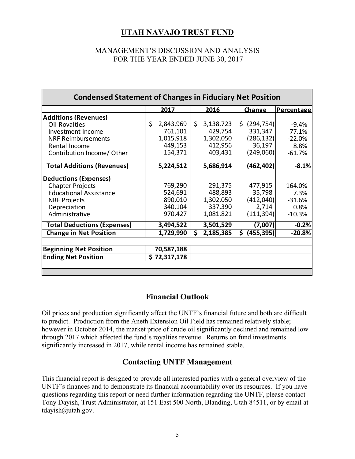# MANAGEMENT'S DISCUSSION AND ANALYSIS FOR THE YEAR ENDED JUNE 30, 2017

| <b>Condensed Statement of Changes in Fiduciary Net Position</b> |    |              |    |           |                   |            |
|-----------------------------------------------------------------|----|--------------|----|-----------|-------------------|------------|
|                                                                 |    | 2017         |    | 2016      | <b>Change</b>     | Percentage |
| <b>Additions (Revenues)</b>                                     |    |              |    |           |                   |            |
| <b>Oil Rovalties</b>                                            | \$ | 2,843,969    | \$ | 3,138,723 | \$.<br>(294, 754) | $-9.4%$    |
| Investment Income                                               |    | 761,101      |    | 429,754   | 331,347           | 77.1%      |
| <b>NRF Reimbursements</b>                                       |    | 1,015,918    |    | 1,302,050 | (286, 132)        | $-22.0%$   |
| Rental Income                                                   |    | 449,153      |    | 412,956   | 36,197            | 8.8%       |
| Contribution Income/ Other                                      |    | 154,371      |    | 403,431   | (249,060)         | $-61.7%$   |
| <b>Total Additions (Revenues)</b>                               |    | 5,224,512    |    | 5,686,914 | (462,402)         | $-8.1%$    |
| <b>Deductions (Expenses)</b>                                    |    |              |    |           |                   |            |
| <b>Chapter Projects</b>                                         |    | 769,290      |    | 291,375   | 477,915           | 164.0%     |
| <b>Educational Assistance</b>                                   |    | 524,691      |    | 488,893   | 35,798            | 7.3%       |
| <b>NRF Projects</b>                                             |    | 890,010      |    | 1,302,050 | (412,040)         | $-31.6%$   |
| Depreciation                                                    |    | 340,104      |    | 337,390   | 2,714             | 0.8%       |
| Administrative                                                  |    | 970,427      |    | 1,081,821 | (111, 394)        | $-10.3%$   |
| <b>Total Deductions (Expenses)</b>                              |    | 3,494,522    |    | 3,501,529 | (7,007)           | $-0.2%$    |
| <b>Change in Net Position</b>                                   |    | 1,729,990    | \$ | 2,185,385 | \$.<br>(455, 395) | $-20.8%$   |
|                                                                 |    |              |    |           |                   |            |
| <b>Beginning Net Position</b>                                   |    | 70,587,188   |    |           |                   |            |
| <b>Ending Net Position</b>                                      |    | \$72,317,178 |    |           |                   |            |
|                                                                 |    |              |    |           |                   |            |

# **Financial Outlook**

Oil prices and production significantly affect the UNTF's financial future and both are difficult to predict. Production from the Aneth Extension Oil Field has remained relatively stable; however in October 2014, the market price of crude oil significantly declined and remained low through 2017 which affected the fund's royalties revenue. Returns on fund investments significantly increased in 2017, while rental income has remained stable.

# **Contacting UNTF Management**

This financial report is designed to provide all interested parties with a general overview of the UNTF's finances and to demonstrate its financial accountability over its resources. If you have questions regarding this report or need further information regarding the UNTF, please contact Tony Dayish, Trust Administrator, at 151 East 500 North, Blanding, Utah 84511, or by email at tdayish@utah.gov.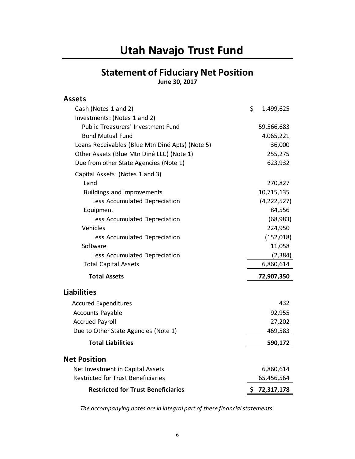# **Utah Navajo Trust Fund**

# **Statement of Fiduciary Net Position**

**June 30, 2017**

#### **Assets**

| Cash (Notes 1 and 2)                            | \$  | 1,499,625     |
|-------------------------------------------------|-----|---------------|
| Investments: (Notes 1 and 2)                    |     |               |
| Public Treasurers' Investment Fund              |     | 59,566,683    |
| <b>Bond Mutual Fund</b>                         |     | 4,065,221     |
| Loans Receivables (Blue Mtn Diné Apts) (Note 5) |     | 36,000        |
| Other Assets (Blue Mtn Diné LLC) (Note 1)       |     | 255,275       |
| Due from other State Agencies (Note 1)          |     | 623,932       |
| Capital Assets: (Notes 1 and 3)                 |     |               |
| Land                                            |     | 270,827       |
| <b>Buildings and Improvements</b>               |     | 10,715,135    |
| Less Accumulated Depreciation                   |     | (4, 222, 527) |
| Equipment                                       |     | 84,556        |
| Less Accumulated Depreciation                   |     | (68, 983)     |
| Vehicles                                        |     | 224,950       |
| Less Accumulated Depreciation                   |     | (152, 018)    |
| Software                                        |     | 11,058        |
| Less Accumulated Depreciation                   |     | (2, 384)      |
| <b>Total Capital Assets</b>                     |     | 6,860,614     |
| <b>Total Assets</b>                             |     | 72,907,350    |
| <b>Liabilities</b>                              |     |               |
| <b>Accured Expenditures</b>                     |     | 432           |
| <b>Accounts Payable</b>                         |     | 92,955        |
| <b>Accrued Payroll</b>                          |     | 27,202        |
| Due to Other State Agencies (Note 1)            |     | 469,583       |
| <b>Total Liabilities</b>                        |     | 590,172       |
| <b>Net Position</b>                             |     |               |
| Net Investment in Capital Assets                |     | 6,860,614     |
| <b>Restricted for Trust Beneficiaries</b>       |     | 65,456,564    |
| <b>Restricted for Trust Beneficiaries</b>       | \$. | 72,317,178    |

*The accompanying notes are in integral part of these financial statements.*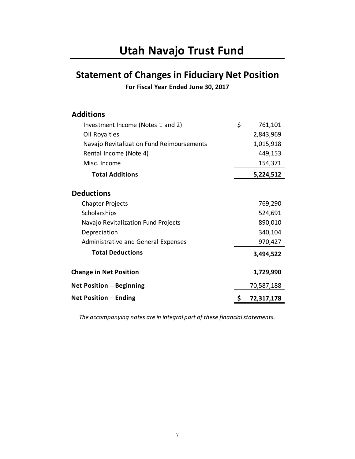# **Utah Navajo Trust Fund**

# **Statement of Changes in Fiduciary Net Position**

**For Fiscal Year Ended June 30, 2017**

| <b>Additions</b>                                                 |                         |
|------------------------------------------------------------------|-------------------------|
| Investment Income (Notes 1 and 2)                                | \$<br>761,101           |
| Oil Royalties                                                    | 2,843,969               |
| Navajo Revitalization Fund Reimbursements                        | 1,015,918               |
| Rental Income (Note 4)                                           | 449,153                 |
| Misc. Income                                                     | 154,371                 |
| <b>Total Additions</b>                                           | 5,224,512               |
| <b>Deductions</b>                                                |                         |
| <b>Chapter Projects</b>                                          | 769,290                 |
| Scholarships                                                     | 524,691                 |
| Navajo Revitalization Fund Projects                              | 890,010                 |
| Depreciation                                                     | 340,104                 |
| <b>Administrative and General Expenses</b>                       | 970,427                 |
| <b>Total Deductions</b>                                          | 3,494,522               |
| <b>Change in Net Position</b><br><b>Net Position - Beginning</b> | 1,729,990<br>70,587,188 |
| <b>Net Position - Ending</b>                                     | 72,317,178              |

*The accompanying notes are in integral part of these financial statements.*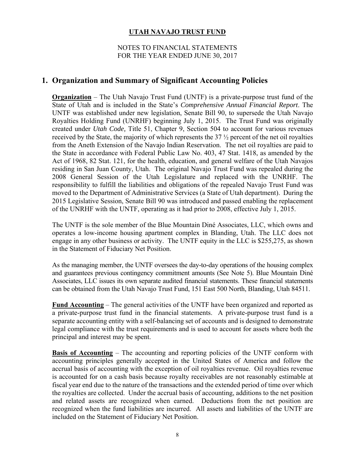## NOTES TO FINANCIAL STATEMENTS FOR THE YEAR ENDED JUNE 30, 2017

# **1. Organization and Summary of Significant Accounting Policies**

 **Organization** – The Utah Navajo Trust Fund (UNTF) is a private-purpose trust fund of the State of Utah and is included in the State's *Comprehensive Annual Financial Report*. The UNTF was established under new legislation, Senate Bill 90, to supersede the Utah Navajo Royalties Holding Fund (UNRHF) beginning July 1, 2015. The Trust Fund was originally created under *Utah Code,* Title 51, Chapter 9, Section 504 to account for various revenues received by the State, the majority of which represents the  $37 \frac{1}{2}$  percent of the net oil royalties from the Aneth Extension of the Navajo Indian Reservation. The net oil royalties are paid to the State in accordance with Federal Public Law No. 403, 47 Stat. 1418, as amended by the Act of 1968, 82 Stat. 121, for the health, education, and general welfare of the Utah Navajos residing in San Juan County, Utah. The original Navajo Trust Fund was repealed during the 2008 General Session of the Utah Legislature and replaced with the UNRHF. The responsibility to fulfill the liabilities and obligations of the repealed Navajo Trust Fund was moved to the Department of Administrative Services (a State of Utah department). During the 2015 Legislative Session, Senate Bill 90 was introduced and passed enabling the replacement of the UNRHF with the UNTF, operating as it had prior to 2008, effective July 1, 2015.

 The UNTF is the sole member of the Blue Mountain Diné Associates, LLC, which owns and operates a low-income housing apartment complex in Blanding, Utah. The LLC does not engage in any other business or activity. The UNTF equity in the LLC is \$255,275, as shown in the Statement of Fiduciary Net Position.

As the managing member, the UNTF oversees the day-to-day operations of the housing complex and guarantees previous contingency commitment amounts (See Note 5). Blue Mountain Diné Associates, LLC issues its own separate audited financial statements. These financial statements can be obtained from the Utah Navajo Trust Fund, 151 East 500 North, Blanding, Utah 84511.

**Fund Accounting** – The general activities of the UNTF have been organized and reported as a private-purpose trust fund in the financial statements. A private-purpose trust fund is a separate accounting entity with a self-balancing set of accounts and is designed to demonstrate legal compliance with the trust requirements and is used to account for assets where both the principal and interest may be spent.

**Basis of Accounting** – The accounting and reporting policies of the UNTF conform with accounting principles generally accepted in the United States of America and follow the accrual basis of accounting with the exception of oil royalties revenue. Oil royalties revenue is accounted for on a cash basis because royalty receivables are not reasonably estimable at fiscal year end due to the nature of the transactions and the extended period of time over which the royalties are collected. Under the accrual basis of accounting, additions to the net position and related assets are recognized when earned. Deductions from the net position are recognized when the fund liabilities are incurred. All assets and liabilities of the UNTF are included on the Statement of Fiduciary Net Position.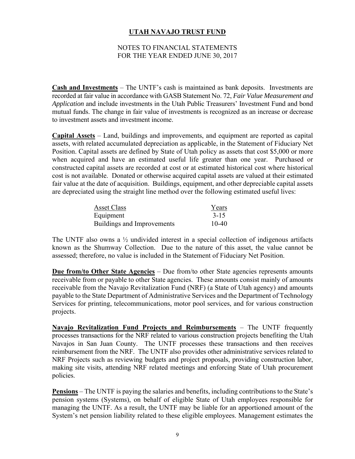## NOTES TO FINANCIAL STATEMENTS FOR THE YEAR ENDED JUNE 30, 2017

**Cash and Investments** – The UNTF's cash is maintained as bank deposits. Investments are recorded at fair value in accordance with GASB Statement No. 72, *Fair Value Measurement and Application* and include investments in the Utah Public Treasurers' Investment Fund and bond mutual funds. The change in fair value of investments is recognized as an increase or decrease to investment assets and investment income.

**Capital Assets** – Land, buildings and improvements, and equipment are reported as capital assets, with related accumulated depreciation as applicable, in the Statement of Fiduciary Net Position. Capital assets are defined by State of Utah policy as assets that cost \$5,000 or more when acquired and have an estimated useful life greater than one year. Purchased or constructed capital assets are recorded at cost or at estimated historical cost where historical cost is not available. Donated or otherwise acquired capital assets are valued at their estimated fair value at the date of acquisition. Buildings, equipment, and other depreciable capital assets are depreciated using the straight line method over the following estimated useful lives:

| Asset Class                | Years    |
|----------------------------|----------|
| Equipment                  | $3 - 15$ |
| Buildings and Improvements | $10-40$  |

The UNTF also owns a  $\frac{1}{2}$  undivided interest in a special collection of indigenous artifacts known as the Shumway Collection. Due to the nature of this asset, the value cannot be assessed; therefore, no value is included in the Statement of Fiduciary Net Position.

**Due from/to Other State Agencies** – Due from/to other State agencies represents amounts receivable from or payable to other State agencies. These amounts consist mainly of amounts receivable from the Navajo Revitalization Fund (NRF) (a State of Utah agency) and amounts payable to the State Department of Administrative Services and the Department of Technology Services for printing, telecommunications, motor pool services, and for various construction projects.

**Navajo Revitalization Fund Projects and Reimbursements** – The UNTF frequently processes transactions for the NRF related to various construction projects benefiting the Utah Navajos in San Juan County. The UNTF processes these transactions and then receives reimbursement from the NRF. The UNTF also provides other administrative services related to NRF Projects such as reviewing budgets and project proposals, providing construction labor, making site visits, attending NRF related meetings and enforcing State of Utah procurement policies.

**Pensions** – The UNTF is paying the salaries and benefits, including contributions to the State's pension systems (Systems), on behalf of eligible State of Utah employees responsible for managing the UNTF. As a result, the UNTF may be liable for an apportioned amount of the System's net pension liability related to these eligible employees. Management estimates the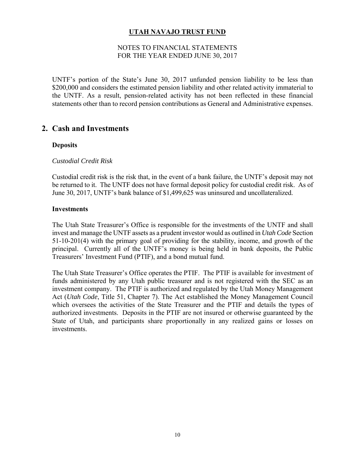## NOTES TO FINANCIAL STATEMENTS FOR THE YEAR ENDED JUNE 30, 2017

UNTF's portion of the State's June 30, 2017 unfunded pension liability to be less than \$200,000 and considers the estimated pension liability and other related activity immaterial to the UNTF. As a result, pension-related activity has not been reflected in these financial statements other than to record pension contributions as General and Administrative expenses.

# **2. Cash and Investments**

#### **Deposits**

#### *Custodial Credit Risk*

Custodial credit risk is the risk that, in the event of a bank failure, the UNTF's deposit may not be returned to it. The UNTF does not have formal deposit policy for custodial credit risk. As of June 30, 2017, UNTF's bank balance of \$1,499,625 was uninsured and uncollateralized.

#### **Investments**

The Utah State Treasurer's Office is responsible for the investments of the UNTF and shall invest and manage the UNTF assets as a prudent investor would as outlined in *Utah Code* Section 51-10-201(4) with the primary goal of providing for the stability, income, and growth of the principal. Currently all of the UNTF's money is being held in bank deposits, the Public Treasurers' Investment Fund (PTIF), and a bond mutual fund.

The Utah State Treasurer's Office operates the PTIF. The PTIF is available for investment of funds administered by any Utah public treasurer and is not registered with the SEC as an investment company. The PTIF is authorized and regulated by the Utah Money Management Act (*Utah Code*, Title 51, Chapter 7). The Act established the Money Management Council which oversees the activities of the State Treasurer and the PTIF and details the types of authorized investments. Deposits in the PTIF are not insured or otherwise guaranteed by the State of Utah, and participants share proportionally in any realized gains or losses on investments.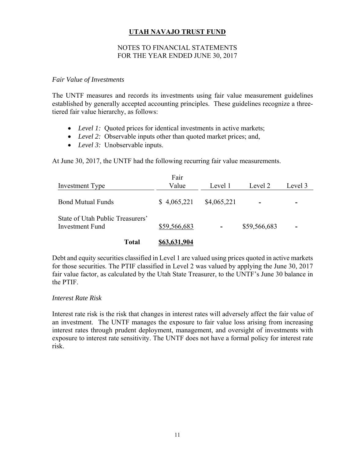#### NOTES TO FINANCIAL STATEMENTS FOR THE YEAR ENDED JUNE 30, 2017

#### *Fair Value of Investments*

The UNTF measures and records its investments using fair value measurement guidelines established by generally accepted accounting principles. These guidelines recognize a threetiered fair value hierarchy, as follows:

- Level 1: Quoted prices for identical investments in active markets;
- *Level 2:* Observable inputs other than quoted market prices; and,
- *Level 3:* Unobservable inputs.

At June 30, 2017, the UNTF had the following recurring fair value measurements.

| Investment Type                                            | Fair<br>Value | Level 1     | Level 2      | Level 3 |
|------------------------------------------------------------|---------------|-------------|--------------|---------|
| <b>Bond Mutual Funds</b>                                   | \$4,065,221   | \$4,065,221 | -            |         |
| State of Utah Public Treasurers'<br><b>Investment Fund</b> | \$59,566,683  |             | \$59,566,683 |         |
| Total                                                      | \$63,631,904  |             |              |         |

Debt and equity securities classified in Level 1 are valued using prices quoted in active markets for those securities. The PTIF classified in Level 2 was valued by applying the June 30, 2017 fair value factor, as calculated by the Utah State Treasurer, to the UNTF's June 30 balance in the PTIF.

#### *Interest Rate Risk*

Interest rate risk is the risk that changes in interest rates will adversely affect the fair value of an investment. The UNTF manages the exposure to fair value loss arising from increasing interest rates through prudent deployment, management, and oversight of investments with exposure to interest rate sensitivity. The UNTF does not have a formal policy for interest rate risk.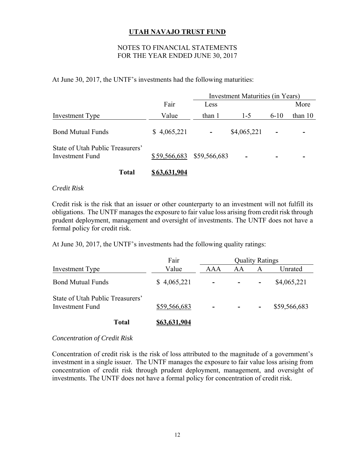#### NOTES TO FINANCIAL STATEMENTS FOR THE YEAR ENDED JUNE 30, 2017

At June 30, 2017, the UNTF's investments had the following maturities:

|                                                            | Investment Maturities (in Years) |              |             |          |           |
|------------------------------------------------------------|----------------------------------|--------------|-------------|----------|-----------|
|                                                            | Fair                             | Less         |             |          | More      |
| Investment Type                                            | Value                            | than 1       | $1-5$       | $6 - 10$ | than $10$ |
| <b>Bond Mutual Funds</b>                                   | \$4,065,221                      |              | \$4,065,221 |          |           |
| State of Utah Public Treasurers'<br><b>Investment Fund</b> | \$59,566,683                     | \$59,566,683 |             |          |           |
| <b>Total</b>                                               | <u>\$63,631,904</u>              |              |             |          |           |

#### *Credit Risk*

Credit risk is the risk that an issuer or other counterparty to an investment will not fulfill its obligations. The UNTF manages the exposure to fair value loss arising from credit risk through prudent deployment, management and oversight of investments. The UNTF does not have a formal policy for credit risk.

At June 30, 2017, the UNTF's investments had the following quality ratings:

|                                                            | Fair         |     |    | <b>Quality Ratings</b> |              |
|------------------------------------------------------------|--------------|-----|----|------------------------|--------------|
| Investment Type                                            | Value        | AAA | AA | A                      | Unrated      |
| <b>Bond Mutual Funds</b>                                   | \$4,065,221  |     |    |                        | \$4,065,221  |
| State of Utah Public Treasurers'<br><b>Investment Fund</b> | \$59,566,683 | ۰   |    | $\overline{a}$         | \$59,566,683 |
| Total                                                      | \$63,631,904 |     |    |                        |              |

#### *Concentration of Credit Risk*

Concentration of credit risk is the risk of loss attributed to the magnitude of a government's investment in a single issuer. The UNTF manages the exposure to fair value loss arising from concentration of credit risk through prudent deployment, management, and oversight of investments. The UNTF does not have a formal policy for concentration of credit risk.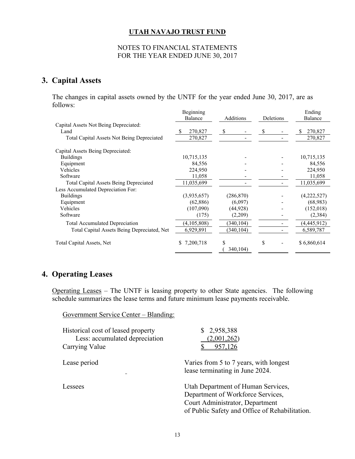## NOTES TO FINANCIAL STATEMENTS FOR THE YEAR ENDED JUNE 30, 2017

# **3. Capital Assets**

The changes in capital assets owned by the UNTF for the year ended June 30, 2017, are as follows: Beginning Ending

|                                                   | Beginning           |            |           | Ending      |
|---------------------------------------------------|---------------------|------------|-----------|-------------|
|                                                   | Balance             | Additions  | Deletions | Balance     |
| Capital Assets Not Being Depreciated:             |                     |            |           |             |
| Land                                              | 270,827<br><b>S</b> | -S         | SБ        | 270,827     |
| <b>Total Capital Assets Not Being Depreciated</b> | 270,827             |            |           | 270,827     |
| Capital Assets Being Depreciated:                 |                     |            |           |             |
| <b>Buildings</b>                                  | 10,715,135          |            |           | 10,715,135  |
| Equipment                                         | 84,556              |            |           | 84,556      |
| Vehicles                                          | 224,950             |            |           | 224,950     |
| Software                                          | 11,058              |            |           | 11,058      |
| <b>Total Capital Assets Being Depreciated</b>     | 11,035,699          |            |           | 11,035,699  |
| Less Accumulated Depreciation For:                |                     |            |           |             |
| <b>Buildings</b>                                  | (3,935,657)         | (286, 870) |           | (4,222,527) |
| Equipment                                         | (62, 886)           | (6,097)    |           | (68,983)    |
| Vehicles                                          | (107,090)           | (44, 928)  |           | (152,018)   |
| Software                                          | (175)               | (2,209)    |           | (2, 384)    |
| <b>Total Accumulated Depreciation</b>             | (4,105,808)         | (340, 104) |           | (4,445,912) |
| Total Capital Assets Being Depreciated, Net       | 6,929,891           | (340, 104) |           | 6,589,787   |
| Total Capital Assets, Net                         | 7,200,718<br>S.     | 340,104)   | \$        | \$6,860,614 |

# **4. Operating Leases**

Operating Leases – The UNTF is leasing property to other State agencies. The following schedule summarizes the lease terms and future minimum lease payments receivable.

| Government Service Center – Blanding:                                                  |                                                                                                                                                              |
|----------------------------------------------------------------------------------------|--------------------------------------------------------------------------------------------------------------------------------------------------------------|
| Historical cost of leased property<br>Less: accumulated depreciation<br>Carrying Value | 2,958,388<br>S.<br>(2,001,262)<br>957,126                                                                                                                    |
| Lease period                                                                           | Varies from 5 to 7 years, with longest<br>lease terminating in June 2024.                                                                                    |
| Lessees                                                                                | Utah Department of Human Services,<br>Department of Workforce Services,<br>Court Administrator, Department<br>of Public Safety and Office of Rehabilitation. |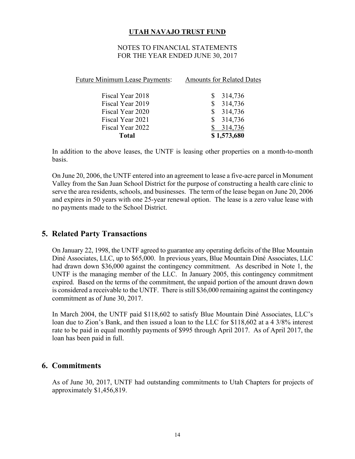#### NOTES TO FINANCIAL STATEMENTS FOR THE YEAR ENDED JUNE 30, 2017

| <b>Future Minimum Lease Payments:</b> | <b>Amounts for Related Dates</b> |
|---------------------------------------|----------------------------------|
| Fiscal Year 2018                      | 314,736                          |
| Fiscal Year 2019                      | 314,736                          |
| Fiscal Year 2020                      | 314,736                          |
| Fiscal Year 2021                      | 314,736<br>S.                    |
| Fiscal Year 2022                      | 314,736                          |
| <b>Total</b>                          | \$1,573,680                      |

In addition to the above leases, the UNTF is leasing other properties on a month-to-month basis.

On June 20, 2006, the UNTF entered into an agreement to lease a five-acre parcel in Monument Valley from the San Juan School District for the purpose of constructing a health care clinic to serve the area residents, schools, and businesses. The term of the lease began on June 20, 2006 and expires in 50 years with one 25-year renewal option. The lease is a zero value lease with no payments made to the School District.

# **5. Related Party Transactions**

On January 22, 1998, the UNTF agreed to guarantee any operating deficits of the Blue Mountain Diné Associates, LLC, up to \$65,000. In previous years, Blue Mountain Diné Associates, LLC had drawn down \$36,000 against the contingency commitment. As described in Note 1, the UNTF is the managing member of the LLC. In January 2005, this contingency commitment expired. Based on the terms of the commitment, the unpaid portion of the amount drawn down is considered a receivable to the UNTF. There is still \$36,000 remaining against the contingency commitment as of June 30, 2017.

In March 2004, the UNTF paid \$118,602 to satisfy Blue Mountain Diné Associates, LLC's loan due to Zion's Bank, and then issued a loan to the LLC for \$118,602 at a 4 3/8% interest rate to be paid in equal monthly payments of \$995 through April 2017. As of April 2017, the loan has been paid in full.

# **6. Commitments**

As of June 30, 2017, UNTF had outstanding commitments to Utah Chapters for projects of approximately \$1,456,819.